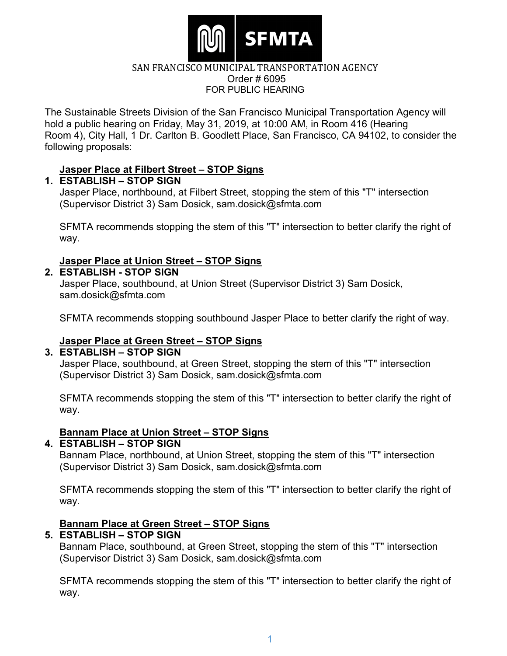

The Sustainable Streets Division of the San Francisco Municipal Transportation Agency will hold a public hearing on Friday, May 31, 2019, at 10:00 AM, in Room 416 (Hearing Room 4), City Hall, 1 Dr. Carlton B. Goodlett Place, San Francisco, CA 94102, to consider the following proposals:

## **Jasper Place at Filbert Street – STOP Signs**

#### **1. ESTABLISH – STOP SIGN**

Jasper Place, northbound, at Filbert Street, stopping the stem of this "T" intersection (Supervisor District 3) Sam Dosick, sam.dosick@sfmta.com

SFMTA recommends stopping the stem of this "T" intersection to better clarify the right of way.

# **Jasper Place at Union Street – STOP Signs**

**2. ESTABLISH - STOP SIGN**

Jasper Place, southbound, at Union Street (Supervisor District 3) Sam Dosick, sam.dosick@sfmta.com

SFMTA recommends stopping southbound Jasper Place to better clarify the right of way.

## **Jasper Place at Green Street – STOP Signs**

#### **3. ESTABLISH – STOP SIGN**

Jasper Place, southbound, at Green Street, stopping the stem of this "T" intersection (Supervisor District 3) Sam Dosick, sam.dosick@sfmta.com

SFMTA recommends stopping the stem of this "T" intersection to better clarify the right of way.

## **Bannam Place at Union Street – STOP Signs**

#### **4. ESTABLISH – STOP SIGN**

Bannam Place, northbound, at Union Street, stopping the stem of this "T" intersection (Supervisor District 3) Sam Dosick, sam.dosick@sfmta.com

SFMTA recommends stopping the stem of this "T" intersection to better clarify the right of way.

#### **Bannam Place at Green Street – STOP Signs**

## **5. ESTABLISH – STOP SIGN**

Bannam Place, southbound, at Green Street, stopping the stem of this "T" intersection (Supervisor District 3) Sam Dosick, [sam.dosick@sfmta.com](mailto:sam.dosick@sfmta.com)

SFMTA recommends stopping the stem of this "T" intersection to better clarify the right of way.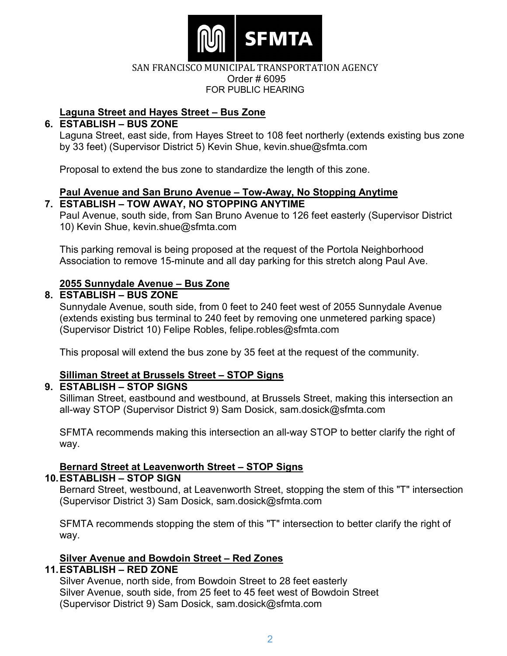

# **Laguna Street and Hayes Street – Bus Zone**

# **6. ESTABLISH – BUS ZONE**

Laguna Street, east side, from Hayes Street to 108 feet northerly (extends existing bus zone by 33 feet) (Supervisor District 5) Kevin Shue, kevin.shue@sfmta.com

Proposal to extend the bus zone to standardize the length of this zone.

#### **Paul Avenue and San Bruno Avenue – Tow-Away, No Stopping Anytime 7. ESTABLISH – TOW AWAY, NO STOPPING ANYTIME**

Paul Avenue, south side, from San Bruno Avenue to 126 feet easterly (Supervisor District 10) Kevin Shue, kevin.shue@sfmta.com

This parking removal is being proposed at the request of the Portola Neighborhood Association to remove 15-minute and all day parking for this stretch along Paul Ave.

# **2055 Sunnydale Avenue – Bus Zone**

## **8. ESTABLISH – BUS ZONE**

Sunnydale Avenue, south side, from 0 feet to 240 feet west of 2055 Sunnydale Avenue (extends existing bus terminal to 240 feet by removing one unmetered parking space) (Supervisor District 10) Felipe Robles, felipe.robles@sfmta.com

This proposal will extend the bus zone by 35 feet at the request of the community.

## **Silliman Street at Brussels Street – STOP Signs**

## **9. ESTABLISH – STOP SIGNS**

Silliman Street, eastbound and westbound, at Brussels Street, making this intersection an all-way STOP (Supervisor District 9) Sam Dosick, sam.dosick@sfmta.com

SFMTA recommends making this intersection an all-way STOP to better clarify the right of way.

# **Bernard Street at Leavenworth Street – STOP Signs**

## **10.ESTABLISH – STOP SIGN**

Bernard Street, westbound, at Leavenworth Street, stopping the stem of this "T" intersection (Supervisor District 3) Sam Dosick, sam.dosick@sfmta.com

SFMTA recommends stopping the stem of this "T" intersection to better clarify the right of way.

# **Silver Avenue and Bowdoin Street – Red Zones**

## **11.ESTABLISH – RED ZONE**

Silver Avenue, north side, from Bowdoin Street to 28 feet easterly Silver Avenue, south side, from 25 feet to 45 feet west of Bowdoin Street (Supervisor District 9) Sam Dosick, sam.dosick@sfmta.com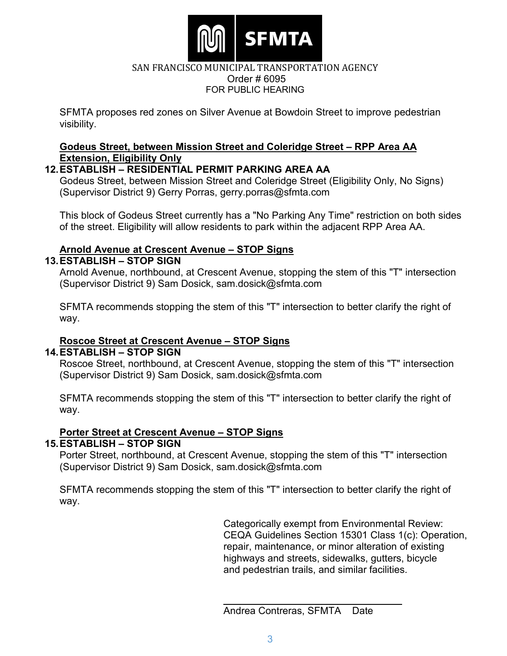

SFMTA proposes red zones on Silver Avenue at Bowdoin Street to improve pedestrian visibility.

#### **Godeus Street, between Mission Street and Coleridge Street – RPP Area AA Extension, Eligibility Only**

# **12.ESTABLISH – RESIDENTIAL PERMIT PARKING AREA AA**

Godeus Street, between Mission Street and Coleridge Street (Eligibility Only, No Signs) (Supervisor District 9) Gerry Porras, gerry.porras@sfmta.com

This block of Godeus Street currently has a "No Parking Any Time" restriction on both sides of the street. Eligibility will allow residents to park within the adjacent RPP Area AA.

# **Arnold Avenue at Crescent Avenue – STOP Signs**

# **13.ESTABLISH – STOP SIGN**

Arnold Avenue, northbound, at Crescent Avenue, stopping the stem of this "T" intersection (Supervisor District 9) Sam Dosick, sam.dosick@sfmta.com

SFMTA recommends stopping the stem of this "T" intersection to better clarify the right of way.

# **Roscoe Street at Crescent Avenue – STOP Signs**

## **14.ESTABLISH – STOP SIGN**

Roscoe Street, northbound, at Crescent Avenue, stopping the stem of this "T" intersection (Supervisor District 9) Sam Dosick, sam.dosick@sfmta.com

SFMTA recommends stopping the stem of this "T" intersection to better clarify the right of way.

# **Porter Street at Crescent Avenue – STOP Signs**

# **15.ESTABLISH – STOP SIGN**

Porter Street, northbound, at Crescent Avenue, stopping the stem of this "T" intersection (Supervisor District 9) Sam Dosick, sam.dosick@sfmta.com

SFMTA recommends stopping the stem of this "T" intersection to better clarify the right of way.

> Categorically exempt from Environmental Review: CEQA Guidelines Section 15301 Class 1(c): Operation, repair, maintenance, or minor alteration of existing highways and streets, sidewalks, gutters, bicycle and pedestrian trails, and similar facilities.

Andrea Contreras, SFMTA Date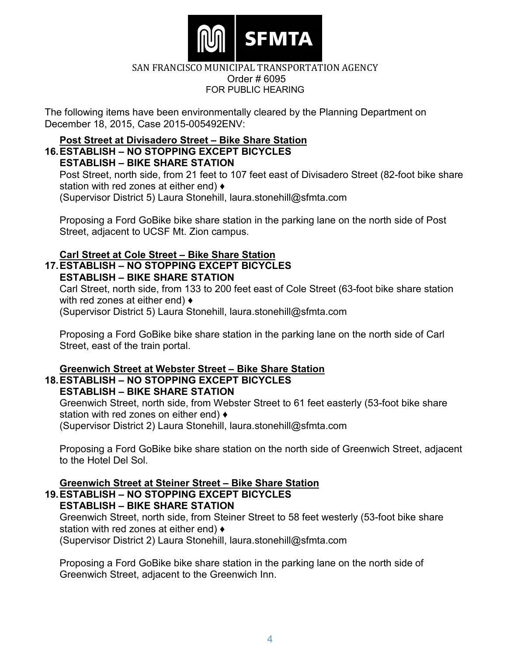

The following items have been environmentally cleared by the Planning Department on December 18, 2015, Case 2015-005492ENV:

# **Post Street at Divisadero Street – Bike Share Station**

#### **16.ESTABLISH – NO STOPPING EXCEPT BICYCLES ESTABLISH – BIKE SHARE STATION**

Post Street, north side, from 21 feet to 107 feet east of Divisadero Street (82-foot bike share station with red zones at either end) ♦ (Supervisor District 5) Laura Stonehill, laura.stonehill@sfmta.com

Proposing a Ford GoBike bike share station in the parking lane on the north side of Post Street, adjacent to UCSF Mt. Zion campus.

# **Carl Street at Cole Street – Bike Share Station**

#### **17.ESTABLISH – NO STOPPING EXCEPT BICYCLES ESTABLISH – BIKE SHARE STATION**

Carl Street, north side, from 133 to 200 feet east of Cole Street (63-foot bike share station with red zones at either end) ♦ (Supervisor District 5) Laura Stonehill, laura.stonehill@sfmta.com

Proposing a Ford GoBike bike share station in the parking lane on the north side of Carl Street, east of the train portal.

#### **Greenwich Street at Webster Street – Bike Share Station 18.ESTABLISH – NO STOPPING EXCEPT BICYCLES ESTABLISH – BIKE SHARE STATION**

Greenwich Street, north side, from Webster Street to 61 feet easterly (53-foot bike share station with red zones on either end)  $\triangleleft$ 

(Supervisor District 2) Laura Stonehill, laura.stonehill@sfmta.com

Proposing a Ford GoBike bike share station on the north side of Greenwich Street, adjacent to the Hotel Del Sol.

# **Greenwich Street at Steiner Street – Bike Share Station**

#### **19.ESTABLISH – NO STOPPING EXCEPT BICYCLES ESTABLISH – BIKE SHARE STATION**

Greenwich Street, north side, from Steiner Street to 58 feet westerly (53-foot bike share station with red zones at either end)  $\triangleleft$ (Supervisor District 2) Laura Stonehill, laura.stonehill@sfmta.com

Proposing a Ford GoBike bike share station in the parking lane on the north side of Greenwich Street, adjacent to the Greenwich Inn.